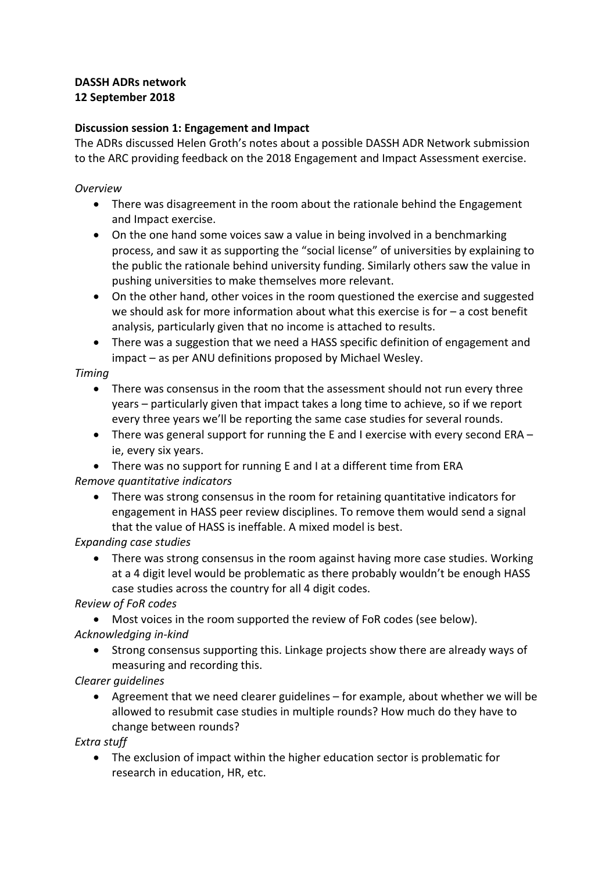## **DASSH ADRs network 12 September 2018**

## **Discussion session 1: Engagement and Impact**

The ADRs discussed Helen Groth's notes about a possible DASSH ADR Network submission to the ARC providing feedback on the 2018 Engagement and Impact Assessment exercise.

### *Overview*

- There was disagreement in the room about the rationale behind the Engagement and Impact exercise.
- On the one hand some voices saw a value in being involved in a benchmarking process, and saw it as supporting the "social license" of universities by explaining to the public the rationale behind university funding. Similarly others saw the value in pushing universities to make themselves more relevant.
- On the other hand, other voices in the room questioned the exercise and suggested we should ask for more information about what this exercise is for – a cost benefit analysis, particularly given that no income is attached to results.
- There was a suggestion that we need a HASS specific definition of engagement and impact – as per ANU definitions proposed by Michael Wesley.

## *Timing*

- There was consensus in the room that the assessment should not run every three years – particularly given that impact takes a long time to achieve, so if we report every three years we'll be reporting the same case studies for several rounds.
- There was general support for running the E and I exercise with every second ERA ie, every six years.
- There was no support for running E and I at a different time from ERA

### *Remove quantitative indicators*

• There was strong consensus in the room for retaining quantitative indicators for engagement in HASS peer review disciplines. To remove them would send a signal that the value of HASS is ineffable. A mixed model is best.

*Expanding case studies*

• There was strong consensus in the room against having more case studies. Working at a 4 digit level would be problematic as there probably wouldn't be enough HASS case studies across the country for all 4 digit codes.

*Review of FoR codes*

• Most voices in the room supported the review of FoR codes (see below). *Acknowledging in-kind*

• Strong consensus supporting this. Linkage projects show there are already ways of measuring and recording this.

## *Clearer guidelines*

• Agreement that we need clearer guidelines – for example, about whether we will be allowed to resubmit case studies in multiple rounds? How much do they have to change between rounds?

*Extra stuff*

• The exclusion of impact within the higher education sector is problematic for research in education, HR, etc.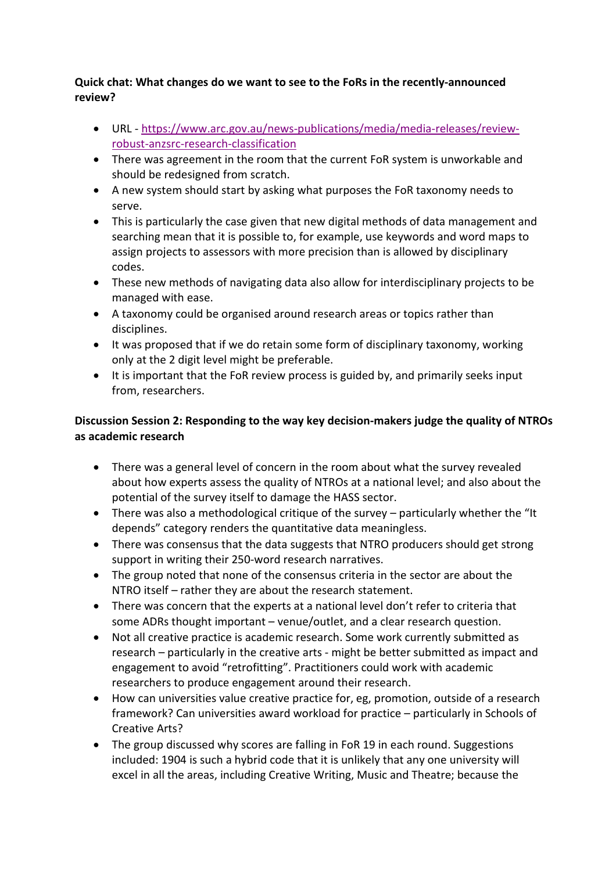## **Quick chat: What changes do we want to see to the FoRs in the recently-announced review?**

- URL https://www.arc.gov.au/news-publications/media/media-releases/reviewrobust-anzsrc-research-classification
- There was agreement in the room that the current FoR system is unworkable and should be redesigned from scratch.
- A new system should start by asking what purposes the FoR taxonomy needs to serve.
- This is particularly the case given that new digital methods of data management and searching mean that it is possible to, for example, use keywords and word maps to assign projects to assessors with more precision than is allowed by disciplinary codes.
- These new methods of navigating data also allow for interdisciplinary projects to be managed with ease.
- A taxonomy could be organised around research areas or topics rather than disciplines.
- It was proposed that if we do retain some form of disciplinary taxonomy, working only at the 2 digit level might be preferable.
- It is important that the FoR review process is guided by, and primarily seeks input from, researchers.

# **Discussion Session 2: Responding to the way key decision-makers judge the quality of NTROs as academic research**

- There was a general level of concern in the room about what the survey revealed about how experts assess the quality of NTROs at a national level; and also about the potential of the survey itself to damage the HASS sector.
- There was also a methodological critique of the survey particularly whether the "It depends" category renders the quantitative data meaningless.
- There was consensus that the data suggests that NTRO producers should get strong support in writing their 250-word research narratives.
- The group noted that none of the consensus criteria in the sector are about the NTRO itself – rather they are about the research statement.
- There was concern that the experts at a national level don't refer to criteria that some ADRs thought important – venue/outlet, and a clear research question.
- Not all creative practice is academic research. Some work currently submitted as research – particularly in the creative arts - might be better submitted as impact and engagement to avoid "retrofitting". Practitioners could work with academic researchers to produce engagement around their research.
- How can universities value creative practice for, eg, promotion, outside of a research framework? Can universities award workload for practice – particularly in Schools of Creative Arts?
- The group discussed why scores are falling in FoR 19 in each round. Suggestions included: 1904 is such a hybrid code that it is unlikely that any one university will excel in all the areas, including Creative Writing, Music and Theatre; because the